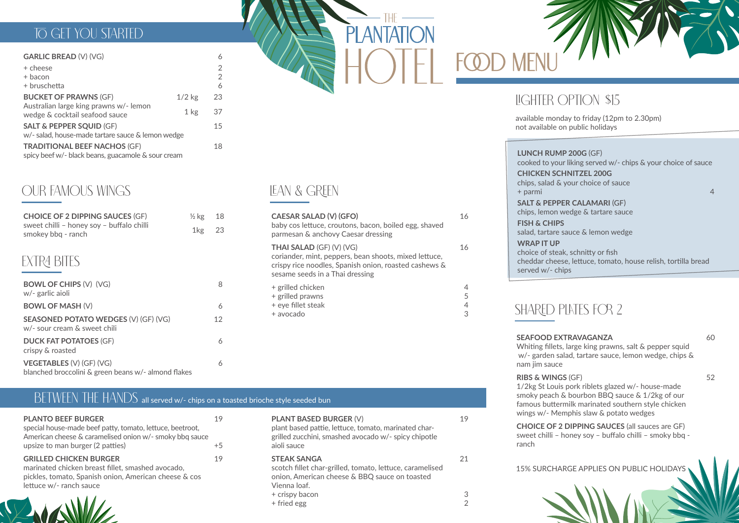15% SURCHARGE APPLIES ON PUBLIC HOLIDAYS





| OPTION \$15 |  |
|-------------|--|
|             |  |

### TO GET YOU STARTED

#### **GARLIC BREAD** (V) (VG) 6

# BETWEEN THE HANDS all served w/- chips on a toasted brioche style seeded bun

# LEAN & GREEN

### OUR FAMOUS WINGS

| + cheese<br>+ bacon<br>+ bruschetta                                                       |          | $\overline{2}$<br>$\overline{2}$<br>6 |
|-------------------------------------------------------------------------------------------|----------|---------------------------------------|
| <b>BUCKET OF PRAWNS (GF)</b>                                                              | $1/2$ kg | 23                                    |
| Australian large king prawns w/- lemon<br>wedge & cocktail seafood sauce                  | $1$ kg   | 37                                    |
| <b>SALT &amp; PEPPER SQUID (GF)</b><br>w/- salad, house-made tartare sauce & lemon wedge  |          | 15                                    |
| <b>TRADITIONAL BEEF NACHOS (GF)</b><br>spicy beef w/- black beans, guacamole & sour cream |          | 18                                    |

| <b>PLANTO BEEF BURGER</b>                                                                                                                                              |      |
|------------------------------------------------------------------------------------------------------------------------------------------------------------------------|------|
| special house-made beef patty, tomato, lettuce, beetroot,<br>American cheese & caramelised onion w/- smoky bbq sauce                                                   |      |
| upsize to man burger (2 patties)                                                                                                                                       | $+5$ |
| <b>GRILLED CHICKEN BURGER</b><br>marinated chicken breast fillet, smashed avocado,<br>pickles, tomato, Spanish onion, American cheese & cos<br>lettuce w/- ranch sauce | 19   |
| the contract of the contract of the contract of the contract of the contract of the contract of the contract of                                                        |      |

#### **PLANT BASED BURGER** (V) plant based pattie, lettuce, tomato, marinated char-

grilled zucchini, smashed avocado w/- spicy chipotle aioli sauce

19

**STEAK SANGA** scotch fillet char-grilled, tomato, lettuce, caramelised onion, American cheese & BBQ sauce on toasted Vienna loaf.

+ crispy bacon

+ fried egg

# **LIGHTER**

**OD MEN** 

21

3 2

| <b>CHOICE OF 2 DIPPING SAUCES (GF)</b><br>sweet chilli - honey soy - buffalo chilli<br>smokey bbq - ranch | $\frac{1}{2}$ kg<br>1 <sub>kg</sub> | 18<br>23 |
|-----------------------------------------------------------------------------------------------------------|-------------------------------------|----------|
| EXTRA BITES                                                                                               |                                     |          |
| <b>BOWL OF CHIPS (V) (VG)</b><br>w/- garlic aioli                                                         |                                     | 8        |
| <b>BOWL OF MASH (V)</b>                                                                                   |                                     | 6        |
| <b>SEASONED POTATO WEDGES (V) (GF) (VG)</b><br>w/- sour cream & sweet chili                               |                                     | 12       |
| <b>DUCK FAT POTATOES (GF)</b><br>crispy & roasted                                                         |                                     | 6        |
| <b>VEGETABLES (V) (GF) (VG)</b>                                                                           |                                     | 6        |

**SALT & PEPPER CALAMARI (GF)** chips, lemon wedge & tartare sauce

blanched broccolini & green beans w/- almond flakes

| <b>CAESAR SALAD (V) (GFO)</b><br>baby cos lettuce, croutons, bacon, boiled egg, shaved<br>parmesan & anchovy Caesar dressing                                                  | 16          |
|-------------------------------------------------------------------------------------------------------------------------------------------------------------------------------|-------------|
| THAI SALAD (GF) (V) (VG)<br>coriander, mint, peppers, bean shoots, mixed lettuce,<br>crispy rice noodles, Spanish onion, roasted cashews &<br>sesame seeds in a Thai dressing | 16          |
| + grilled chicken<br>+ grilled prawns<br>+ eye fillet steak<br>+ avocado                                                                                                      | 5<br>4<br>З |

**SEAFOOD EXTRAVAGANZA** Whiting fillets, large king prawns, salt & pepper squid w/- garden salad, tartare sauce, lemon wedge, chips & nam jim sauce

60

**RIBS & WINGS** (GF)

1/2kg St Louis pork riblets glazed w/- house-made smoky peach & bourbon BBQ sauce & 1/2kg of our famous buttermilk marinated southern style chicken wings w/- Memphis slaw & potato wedges

**CHOICE OF 2 DIPPING SAUCES** (all sauces are GF) sweet chilli – honey soy – buffalo chilli – smoky bbq ranch

52

cooked to your liking served w/- chips & your choice of sauce

**LUNCH RUMP 200G** (GF) **CHICKEN SCHNITZEL 200G** chips, salad & your choice of sauce + parmi 4

salad, tartare sauce & lemon wedge

**FISH & CHIPS WRAP IT UP** served w/- chips

choice of steak, schnitty or fish cheddar cheese, lettuce, tomato, house relish, tortilla bread

## SHARED PLATES FOR 2

available monday to friday (12pm to 2.30pm) not available on public holidays